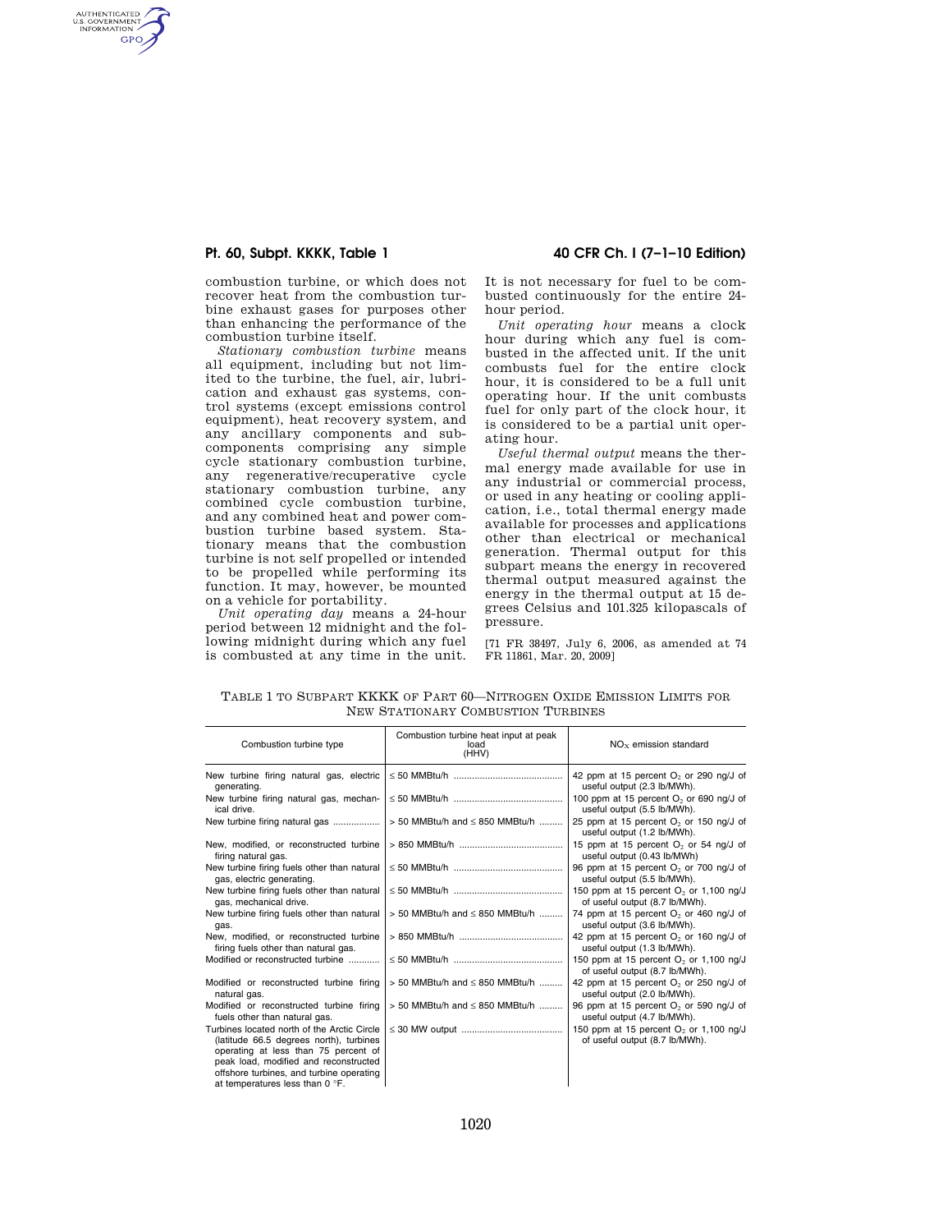AUTHENTICATED<br>U.S. GOVERNMENT<br>INFORMATION GPO

> combustion turbine, or which does not recover heat from the combustion turbine exhaust gases for purposes other than enhancing the performance of the combustion turbine itself.

> *Stationary combustion turbine* means all equipment, including but not limited to the turbine, the fuel, air, lubrication and exhaust gas systems, control systems (except emissions control equipment), heat recovery system, and any ancillary components and subcomponents comprising any simple cycle stationary combustion turbine, any regenerative/recuperative cycle stationary combustion turbine, any combined cycle combustion turbine, and any combined heat and power combustion turbine based system. Stationary means that the combustion turbine is not self propelled or intended to be propelled while performing its function. It may, however, be mounted on a vehicle for portability.

> *Unit operating day* means a 24-hour period between 12 midnight and the following midnight during which any fuel is combusted at any time in the unit.

**Pt. 60, Subpt. KKKK, Table 1 40 CFR Ch. I (7–1–10 Edition)** 

It is not necessary for fuel to be combusted continuously for the entire 24 hour period.

*Unit operating hour* means a clock hour during which any fuel is combusted in the affected unit. If the unit combusts fuel for the entire clock hour, it is considered to be a full unit operating hour. If the unit combusts fuel for only part of the clock hour, it is considered to be a partial unit operating hour.

*Useful thermal output* means the thermal energy made available for use in any industrial or commercial process, or used in any heating or cooling application, i.e., total thermal energy made available for processes and applications other than electrical or mechanical generation. Thermal output for this subpart means the energy in recovered thermal output measured against the energy in the thermal output at 15 degrees Celsius and 101.325 kilopascals of pressure.

[71 FR 38497, July 6, 2006, as amended at 74 FR 11861, Mar. 20, 2009]

| TABLE 1 TO SUBPART KKKK OF PART 60—NITROGEN OXIDE EMISSION LIMITS FOR |
|-----------------------------------------------------------------------|
| NEW STATIONARY COMBUSTION TURBINES                                    |

| Combustion turbine type                                                                                                                                                                                                                                | Combustion turbine heat input at peak<br>load<br>(HHV) | $NOx$ emission standard                                                           |
|--------------------------------------------------------------------------------------------------------------------------------------------------------------------------------------------------------------------------------------------------------|--------------------------------------------------------|-----------------------------------------------------------------------------------|
| New turbine firing natural gas, electric<br>generating.                                                                                                                                                                                                |                                                        | 42 ppm at 15 percent $O2$ or 290 ng/J of<br>useful output (2.3 lb/MWh).           |
| New turbine firing natural gas, mechan-<br>ical drive.                                                                                                                                                                                                 |                                                        | 100 ppm at 15 percent $O2$ or 690 ng/J of<br>useful output (5.5 lb/MWh).          |
| New turbine firing natural gas                                                                                                                                                                                                                         | $>$ 50 MMBtu/h and $\leq$ 850 MMBtu/h                  | 25 ppm at 15 percent $O_2$ or 150 ng/J of<br>useful output (1.2 lb/MWh).          |
| New, modified, or reconstructed turbine<br>firing natural gas.                                                                                                                                                                                         |                                                        | 15 ppm at 15 percent $O2$ or 54 ng/J of<br>useful output (0.43 lb/MWh)            |
| New turbine firing fuels other than natural<br>gas, electric generating.                                                                                                                                                                               |                                                        | 96 ppm at 15 percent O <sub>2</sub> or 700 ng/J of<br>useful output (5.5 lb/MWh). |
| New turbine firing fuels other than natural<br>gas, mechanical drive.                                                                                                                                                                                  |                                                        | 150 ppm at 15 percent $O_2$ or 1,100 ng/J<br>of useful output (8.7 lb/MWh).       |
| New turbine firing fuels other than natural<br>gas.                                                                                                                                                                                                    | $>$ 50 MMBtu/h and $\leq$ 850 MMBtu/h                  | 74 ppm at 15 percent $O_2$ or 460 ng/J of<br>useful output (3.6 lb/MWh).          |
| New, modified, or reconstructed turbine<br>firing fuels other than natural gas.                                                                                                                                                                        |                                                        | 42 ppm at 15 percent $O2$ or 160 ng/J of<br>useful output (1.3 lb/MWh).           |
| Modified or reconstructed turbine                                                                                                                                                                                                                      |                                                        | 150 ppm at 15 percent $O2$ or 1,100 ng/J<br>of useful output (8.7 lb/MWh).        |
| Modified or reconstructed turbine firing<br>natural gas.                                                                                                                                                                                               | $>$ 50 MMBtu/h and $\leq$ 850 MMBtu/h                  | 42 ppm at 15 percent $O2$ or 250 ng/J of<br>useful output (2.0 lb/MWh).           |
| Modified or reconstructed turbine firing<br>fuels other than natural gas.                                                                                                                                                                              | $>$ 50 MMBtu/h and $\leq$ 850 MMBtu/h                  | 96 ppm at 15 percent O <sub>2</sub> or 590 ng/J of<br>useful output (4.7 lb/MWh). |
| Turbines located north of the Arctic Circle<br>(latitude 66.5 degrees north), turbines<br>operating at less than 75 percent of<br>peak load, modified and reconstructed<br>offshore turbines, and turbine operating<br>at temperatures less than 0 °F. |                                                        | 150 ppm at 15 percent $O2$ or 1,100 ng/J<br>of useful output (8.7 lb/MWh).        |